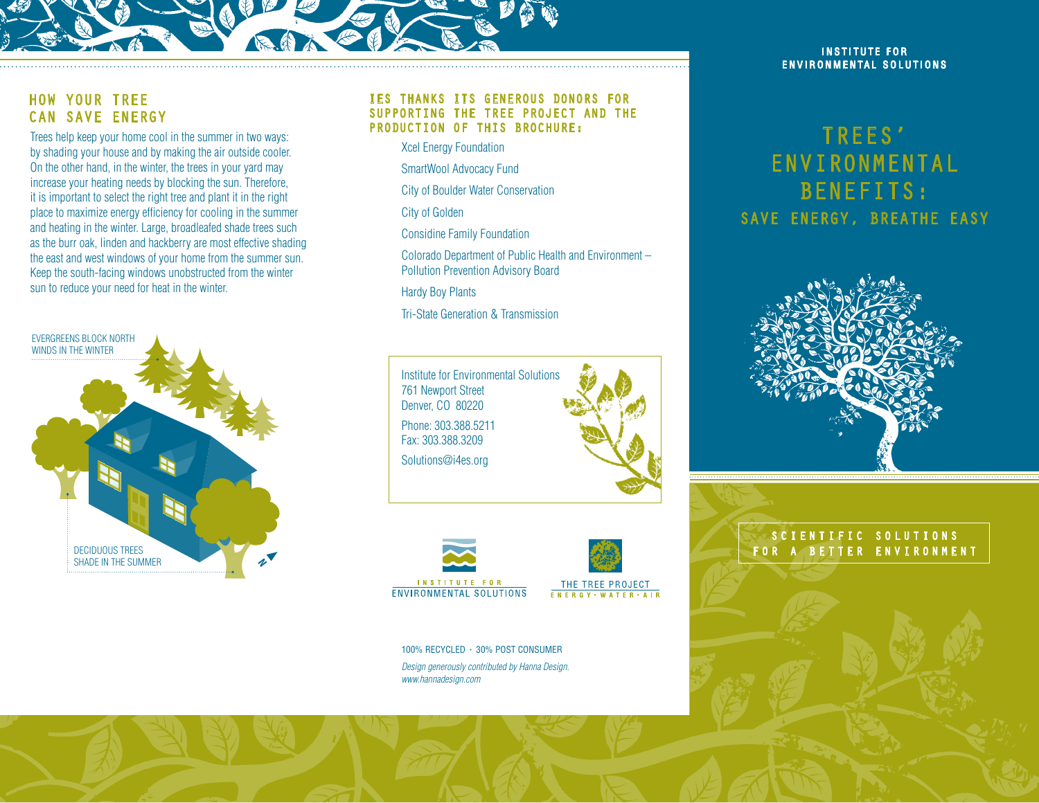

## How Your Tree can Save Energy

Trees help keep your home cool in the summer in two ways: by shading your house and by making the air outside cooler. On the other hand, in the winter, the trees in your yard may increase your heating needs by blocking the sun. Therefore, it is important to select the right tree and plant it in the right place to maximize energy efficiency for cooling in the summer and heating in the winter. Large, broadleafed shade trees such as the burr oak, linden and hackberry are most effective shading the east and west windows of your home from the summer sun. Keep the south-facing windows unobstructed from the winter sun to reduce your need for heat in the winter.



#### IES thanks its generous donors for supporting the tree project and the production of this brochure:

Xcel Energy Foundation

SmartWool Advocacy Fund

City of Boulder Water Conservation

City of Golden

Considine Family Foundation

 Colorado Department of Public Health and Environment – Pollution Prevention Advisory Board

Hardy Boy Plants

Tri-State Generation & Transmission







100% RECYCLED • 30% POST CONSUMER *Design generously contributed by Hanna Design. www.hannadesign.com*

#### **INSTITUTE FOR** ENVIRONMENTAL SOLUTIONS

# Trees' Environmental Benefits: SAVE ENERGY, BREATHE EASY